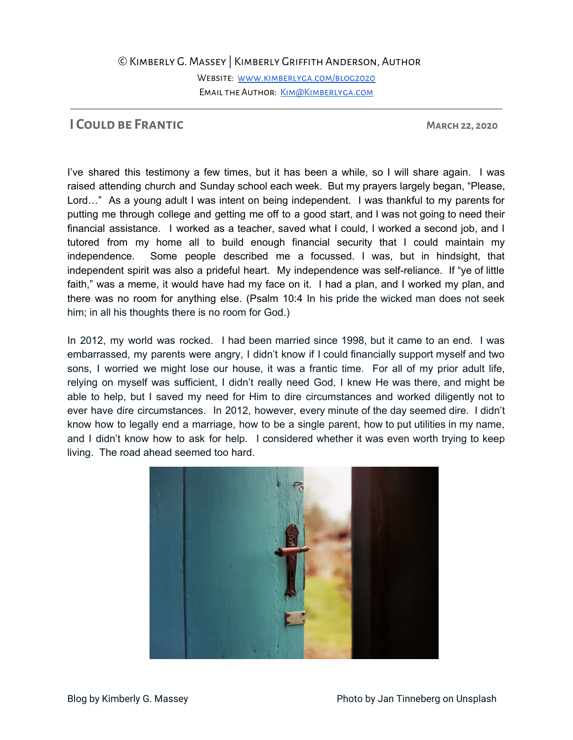## ©Kimberly G. Massey | Kimberly Griffith Anderson, Author

WEBSITE: WWW.KIMBERLYGA.COM/BLOG2020 EMAIL THE AUTHOR: KIM@KIMBERLYGA.COM

## **I Could be Frantic March 22, 2020**

I've shared this testimony a few times, but it has been a while, so I will share again. I was raised attending church and Sunday school each week. But my prayers largely began, "Please, Lord…" As a young adult I was intent on being independent. I was thankful to my parents for putting me through college and getting me off to a good start, and I was not going to need their financial assistance. I worked as a teacher, saved what I could, I worked a second job, and I tutored from my home all to build enough financial security that I could maintain my independence. Some people described me a focussed. I was, but in hindsight, that independent spirit was also a prideful heart. My independence was self-reliance. If "ye of little faith," was a meme, it would have had my face on it. I had a plan, and I worked my plan, and there was no room for anything else. (Psalm 10:4 In his pride the wicked man does not seek him; in all his thoughts there is no room for God.)

In 2012, my world was rocked. I had been married since 1998, but it came to an end. I was embarrassed, my parents were angry, I didn't know if I could financially support myself and two sons, I worried we might lose our house, it was a frantic time. For all of my prior adult life, relying on myself was sufficient, I didn't really need God, I knew He was there, and might be able to help, but I saved my need for Him to dire circumstances and worked diligently not to ever have dire circumstances. In 2012, however, every minute of the day seemed dire. I didn't know how to legally end a marriage, how to be a single parent, how to put utilities in my name, and I didn't know how to ask for help. I considered whether it was even worth trying to keep living. The road ahead seemed too hard.

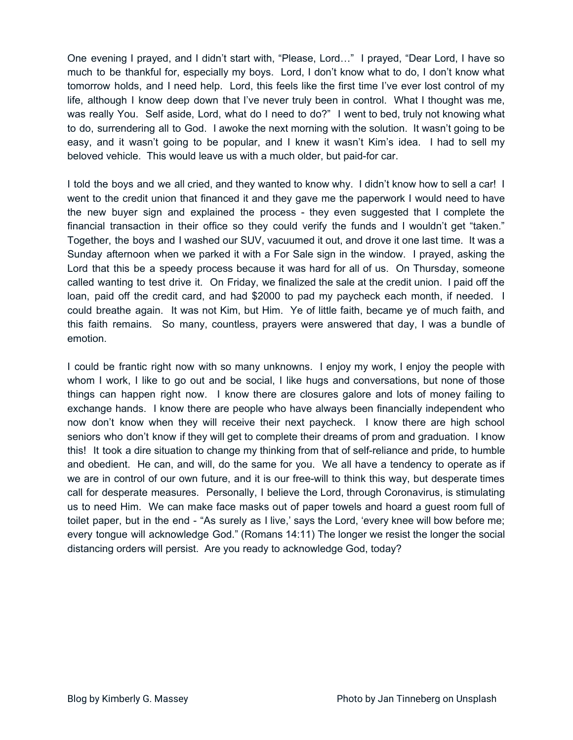One evening I prayed, and I didn't start with, "Please, Lord…" I prayed, "Dear Lord, I have so much to be thankful for, especially my boys. Lord, I don't know what to do, I don't know what tomorrow holds, and I need help. Lord, this feels like the first time I've ever lost control of my life, although I know deep down that I've never truly been in control. What I thought was me, was really You. Self aside, Lord, what do I need to do?" I went to bed, truly not knowing what to do, surrendering all to God. I awoke the next morning with the solution. It wasn't going to be easy, and it wasn't going to be popular, and I knew it wasn't Kim's idea. I had to sell my beloved vehicle. This would leave us with a much older, but paid-for car.

I told the boys and we all cried, and they wanted to know why. I didn't know how to sell a car! I went to the credit union that financed it and they gave me the paperwork I would need to have the new buyer sign and explained the process - they even suggested that I complete the financial transaction in their office so they could verify the funds and I wouldn't get "taken." Together, the boys and I washed our SUV, vacuumed it out, and drove it one last time. It was a Sunday afternoon when we parked it with a For Sale sign in the window. I prayed, asking the Lord that this be a speedy process because it was hard for all of us. On Thursday, someone called wanting to test drive it. On Friday, we finalized the sale at the credit union. I paid off the loan, paid off the credit card, and had \$2000 to pad my paycheck each month, if needed. I could breathe again. It was not Kim, but Him. Ye of little faith, became ye of much faith, and this faith remains. So many, countless, prayers were answered that day, I was a bundle of emotion.

I could be frantic right now with so many unknowns. I enjoy my work, I enjoy the people with whom I work, I like to go out and be social, I like hugs and conversations, but none of those things can happen right now. I know there are closures galore and lots of money failing to exchange hands. I know there are people who have always been financially independent who now don't know when they will receive their next paycheck. I know there are high school seniors who don't know if they will get to complete their dreams of prom and graduation. I know this! It took a dire situation to change my thinking from that of self-reliance and pride, to humble and obedient. He can, and will, do the same for you. We all have a tendency to operate as if we are in control of our own future, and it is our free-will to think this way, but desperate times call for desperate measures. Personally, I believe the Lord, through Coronavirus, is stimulating us to need Him. We can make face masks out of paper towels and hoard a guest room full of toilet paper, but in the end - "As surely as I live,' says the Lord, 'every knee will bow before me; every tongue will acknowledge God." (Romans 14:11) The longer we resist the longer the social distancing orders will persist. Are you ready to acknowledge God, today?